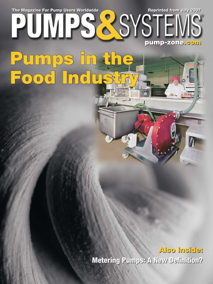The Magazine For Pump Users Worldwide **Reprinted from July 2007** 

Pumps in the

**Food Industry ood** 

ĪI

**pump-zone pump-zone.com**

**Also Inside: Also Inside: Metering Pumps: A New Defi nition? Metering Pumps: A New Defi nition?**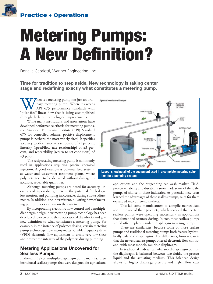

# **Metering Pumps: A New Definition?**

Donelle Capriotti, Wanner Engineering, Inc.

**Time for tradition to step aside. New technology is taking center**  stage and redefining exactly what constitutes a metering pump.

When is a metering pump not just an ordi-<br>
API 675 performance standards with<br>
"pulse-free" linear flow that is being accomplished nary metering pump? When it exceeds API 675 performance standards with through the latest technological improvements.

While many institutions and associations have developed performance criteria for metering pumps, the American Petroleum Institute (API) Standard 675 for controlled-volume, positive displacement pumps is perhaps the most widely cited. It specifies accuracy (performance at a set point) of  $\pm 1$  percent, linearity (speed/flow rate relationship) of  $\pm 3$  percent, and repeatability (return to set conditions) of ±3 percent.

The reciprocating metering pump is commonly used in applications requiring precise chemical injection. A good example is polymer feed systems at water and wastewater treatment plants, where polymers need to be delivered without damage in accurate, repeatable quantities.

Although metering pumps are noted for accuracy, linearity and repeatability, there is the potential for leakage, lost motion, and pumping inaccuracies during stroke adjustments. In addition, the intermittent, pulsating flow of metering pumps places a strain on the system.

By incorporating electronic flow control and a multiplediaphragm design, new metering pump technology has been developed to overcome these operational drawbacks and give new definition to what constitutes a metering pump. For example, in the instance of polymer dosing, certain metering pump technology now incorporates variable frequency drive (VFD) electronic flow adjustment to create very low sheer and protect the integrity of the polymers during pumping.

## **Metering Applications Uncovered for Sealless Pumps**

In the early 1970s, multiple-diaphragm pump manufacturers introduced sealless pumps that were designed for agricultural



**tion for a pumping system.**

applications and the burgeoning car wash market. Fieldproven reliability and durability soon made some of these the pumps of choice in these industries. As potential new users learned the advantages of these sealless pumps, sales for them expanded into different markets.

This led some manufacturers to compile market data about the use of their products, which revealed that certain sealless pumps were operating successfully in applications that demanded accurate dosing. In fact, those sealless pumps would often replace standard diaphragm metering pumps.

There are similarities, because some of those sealless pumps and traditional metering pumps both feature hydraulically balanced diaphragms. Key differences, however, were that the newest sealless pumps offered electronic flow control and, with most models, multiple diaphragms.

In traditional hydraulically-balanced diaphragm pumps, the diaphragm is balanced between two fluids, the process liquid and the actuating medium. This balanced design allows for higher discharge pressure and higher flow rates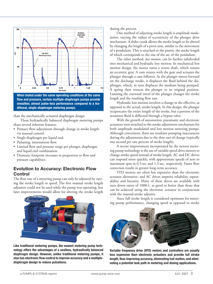

**When tested under the same operating conditions at the same fl ow and pressure, certain multiple-diaphragm pumps provide smoother, almost pulse-less performance compared to a traditional, single-diaphragm metering pumps.**

than the mechanically actuated diaphragm design.

These hydraulically balanced diaphragm metering pumps share several inherent features:

- Primary flow adjustment through change in stroke length via manual control.
- Single diaphragm per liquid end.
- Pulsating, intermittent flow.
- Limited flow and pressure range per plunger, diaphragm and liquid end combination.
- Dramatic footprint increases in proportion to flow and pressure capabilities.

## **Evolution to Accuracy: Electronic Flow Control**

The flow rate of a metering pump can only be adjusted by varying the stroke length or speed. The first manual stroke length adjusters could not be used while the pump was operating, but later improvements would allow for altering the stroke length



**Like traditional metering pumps, the newest metering pump technology offers the advantages of a sealless, hydraulically balanced diaphragm design. However, unlike traditional metering pumps, it**  also has electronic flow control to improve accuracy and a multiple**diaphragm design to reduce pulsations.**

during the process.

One method of adjusting stroke length is *amplitude modulation*, varying the radius of eccentricity of the plunger drive mechanism. A slider crank allows the stroke length to be altered by changing the length of a pivot arm, similar to the movement of a pendulum. This is attached to the piston, the stroke length of which corresponds to the size of the arc of the pendulum.

The other method, *lost motion*, can be further subdivided into mechanical and hydraulic lost motion. In mechanical lost motion design, the motor turns a worm shaft, which rotates an eccentric gear. A cam rotates with the gear and actuates the plunger through a cam follower. As the plunger moves forward on the discharge stroke, it displaces the fluid behind the diaphragm, which, in turn displaces the medium being pumped. A spring then retracts the plunger to its original position. Limiting the rearward travel of the plunger changes the stroke length and the resulting flow rate.

Hydraulic lost motion involves a change in the effective, as opposed to the actual, stroke length. In this design, the plunger reciprocates the entire length of the stroke, but a portion of the actuation fluid is deflected through a bypass valve.

With the growth of automation, pneumatic and electronic actuators were attached to the stroke adjustment mechanism for both amplitude modulated and lost motion metering pumps. Although convenient, there are resultant pumping inaccuracies during the adjustments due to the slow rate of change (typically one second per one percent of stroke length).

A recent improvement incorporated by the newest metering pump technology is the use of variable speed drive motors to change stroke speed instead of stroke length. AC and DC drives can respond more quickly, with approximate speeds of zero to maximum rpm in 0.5-sec and 1.3-sec, respectively. Faster flow correction results in greater long-term accuracy.

VFD motors are often less expensive than the electronic actuator alternative, and AC drives improve reliability, repeatability and linearity. Many of these drives are available with turn down ratios of 1000:1, as good or better than those that can be achieved using the electronic actuator in conjunction with the manual stroke adjuster.

Since full stroke length is considered optimum for metering pump performance, changing speed as opposed to stroke



**Variable frequency drive (VFD) motors and controllers are usually less expensive than electronic actuators and provide full stroke length, thus improving accuracy, eliminating lost motion, and eliminating a potential leak path in metering and dosing applications.**